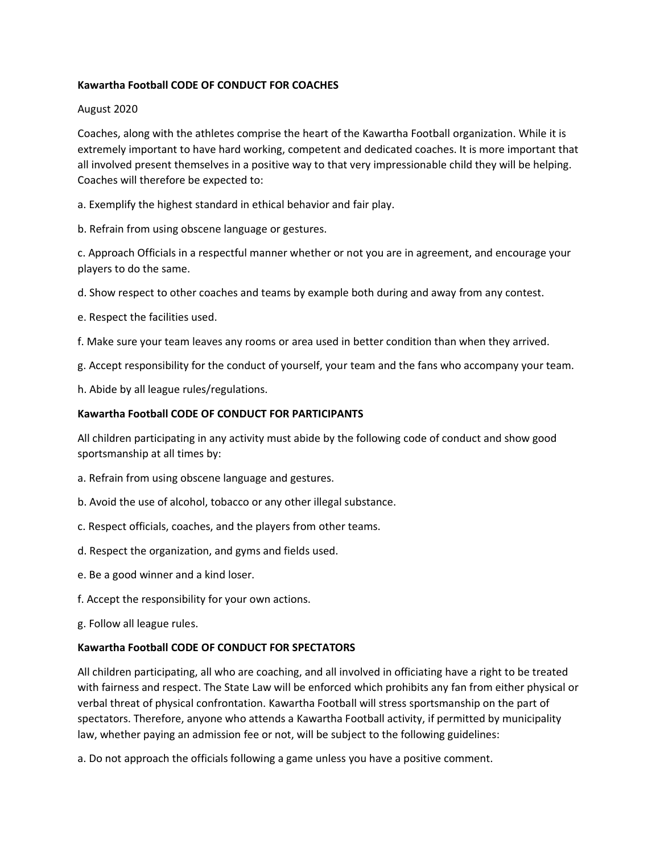## **Kawartha Football CODE OF CONDUCT FOR COACHES**

### August 2020

Coaches, along with the athletes comprise the heart of the Kawartha Football organization. While it is extremely important to have hard working, competent and dedicated coaches. It is more important that all involved present themselves in a positive way to that very impressionable child they will be helping. Coaches will therefore be expected to:

a. Exemplify the highest standard in ethical behavior and fair play.

b. Refrain from using obscene language or gestures.

c. Approach Officials in a respectful manner whether or not you are in agreement, and encourage your players to do the same.

d. Show respect to other coaches and teams by example both during and away from any contest.

e. Respect the facilities used.

f. Make sure your team leaves any rooms or area used in better condition than when they arrived.

g. Accept responsibility for the conduct of yourself, your team and the fans who accompany your team.

h. Abide by all league rules/regulations.

# **Kawartha Football CODE OF CONDUCT FOR PARTICIPANTS**

All children participating in any activity must abide by the following code of conduct and show good sportsmanship at all times by:

- a. Refrain from using obscene language and gestures.
- b. Avoid the use of alcohol, tobacco or any other illegal substance.
- c. Respect officials, coaches, and the players from other teams.
- d. Respect the organization, and gyms and fields used.
- e. Be a good winner and a kind loser.
- f. Accept the responsibility for your own actions.
- g. Follow all league rules.

### **Kawartha Football CODE OF CONDUCT FOR SPECTATORS**

All children participating, all who are coaching, and all involved in officiating have a right to be treated with fairness and respect. The State Law will be enforced which prohibits any fan from either physical or verbal threat of physical confrontation. Kawartha Football will stress sportsmanship on the part of spectators. Therefore, anyone who attends a Kawartha Football activity, if permitted by municipality law, whether paying an admission fee or not, will be subject to the following guidelines:

a. Do not approach the officials following a game unless you have a positive comment.